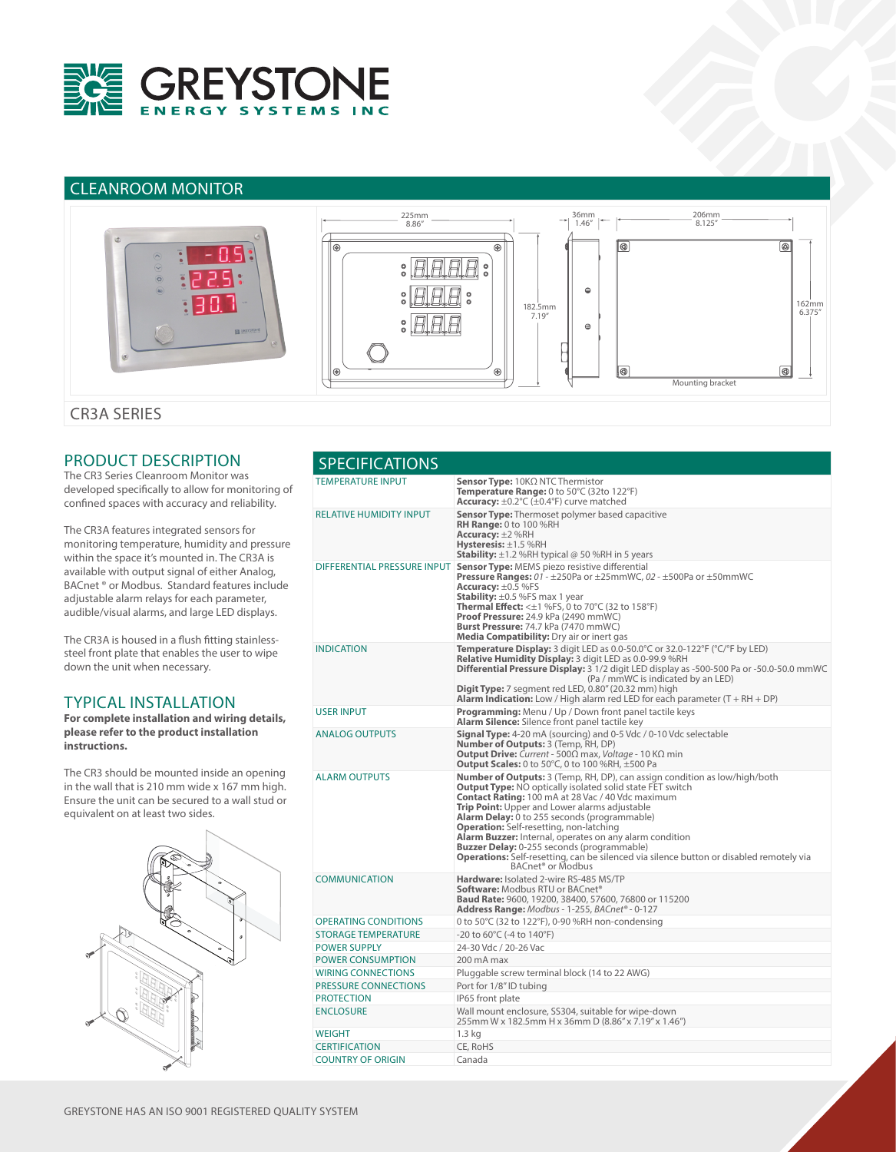

# CLEANROOM MONITOR



CR3A SERIES

## PRODUCT DESCRIPTION

The CR3 Series Cleanroom Monitor was developed specifically to allow for monitoring of confined spaces with accuracy and reliability.

The CR3A features integrated sensors for monitoring temperature, humidity and pressure within the space it's mounted in. The CR3A is available with output signal of either Analog, BACnet ® or Modbus. Standard features include adjustable alarm relays for each parameter, audible/visual alarms, and large LED displays.

The CR3A is housed in a flush fitting stainlesssteel front plate that enables the user to wipe down the unit when necessary.

#### TYPICAL INSTALLATION

**For complete installation and wiring details, please refer to the product installation instructions.**

The CR3 should be mounted inside an opening in the wall that is 210 mm wide x 167 mm high. Ensure the unit can be secured to a wall stud or equivalent on at least two sides.



| <b>SPECIFICATIONS</b>       |                                                                                                                                                                                                                                                                                                                                                                                                                                                                                                                                                                                                                                |  |  |
|-----------------------------|--------------------------------------------------------------------------------------------------------------------------------------------------------------------------------------------------------------------------------------------------------------------------------------------------------------------------------------------------------------------------------------------------------------------------------------------------------------------------------------------------------------------------------------------------------------------------------------------------------------------------------|--|--|
| TEMPERATURE INPUT           | <b>Sensor Type:</b> $10K\Omega$ NTC Thermistor<br><b>Temperature Range:</b> 0 to 50 $\degree$ C (32to 122 $\degree$ F)<br><b>Accuracy:</b> $\pm 0.2^{\circ}C$ ( $\pm 0.4^{\circ}F$ ) curve matched                                                                                                                                                                                                                                                                                                                                                                                                                             |  |  |
| RELATIVE HUMIDITY INPUT     | <b>Sensor Type:</b> Thermoset polymer based capacitive<br><b>RH Range: 0 to 100 %RH</b><br>Accuracy: $\pm 2$ %RH<br><b>Hysteresis:</b> $\pm$ 1.5 %RH<br><b>Stability:</b> $\pm$ 1.2 %RH typical @ 50 %RH in 5 years                                                                                                                                                                                                                                                                                                                                                                                                            |  |  |
|                             | DIFFERENTIAL PRESSURE INPUT Sensor Type: MEMS piezo resistive differential<br>Pressure Ranges: 01 - ±250Pa or ±25mmWC, 02 - ±500Pa or ±50mmWC<br>Accuracy: $\pm 0.5$ %FS<br><b>Stability:</b> $\pm 0.5$ %FS max 1 year<br><b>Thermal Effect:</b> $\leq \pm 1$ %FS, 0 to 70°C (32 to 158°F)<br><b>Proof Pressure:</b> 24.9 kPa (2490 mmWC)<br>Burst Pressure: 74.7 kPa (7470 mmWC)<br>Media Compatibility: Dry air or inert gas                                                                                                                                                                                                 |  |  |
| INDICATION                  | <b>Temperature Display:</b> 3 digit LED as 0.0-50.0°C or 32.0-122°F (°C/°F by LED)<br><b>Relative Humidity Display: 3 digit LED as 0.0-99.9 %RH</b><br>Differential Pressure Display: 3 1/2 digit LED display as -500-500 Pa or -50.0-50.0 mmWC<br>(Pa / mmWC is indicated by an LED)<br><b>Digit Type:</b> 7 segment red LED, $0.80''$ (20.32 mm) high<br><b>Alarm Indication:</b> Low / High alarm red LED for each parameter (T + RH + DP)                                                                                                                                                                                  |  |  |
| USER INPUT                  | <b>Programming:</b> Menu / Up / Down front panel tactile keys<br><b>Alarm Silence:</b> Silence front panel tactile key                                                                                                                                                                                                                                                                                                                                                                                                                                                                                                         |  |  |
| <b>ANALOG OUTPUTS</b>       | <b>Signal Type:</b> 4-20 mA (sourcing) and 0-5 Vdc / 0-10 Vdc selectable<br><b>Number of Outputs:</b> 3 (Temp, RH, DP)<br><b>Output Drive:</b> Current - 500 $\Omega$ max, Voltage - 10 K $\Omega$ min<br><b>Output Scales:</b> 0 to 50 $^{\circ}$ C, 0 to 100 %RH, $\pm$ 500 Pa                                                                                                                                                                                                                                                                                                                                               |  |  |
| <b>ALARM OUTPUTS</b>        | <b>Number of Outputs:</b> 3 (Temp, RH, DP), can assign condition as low/high/both<br><b>Output Type: NO optically isolated solid state FET switch</b><br><b>Contact Rating: 100 mA at 28 Vac / 40 Vdc maximum</b><br>Trip Point: Upper and Lower alarms adjustable<br><b>Alarm Delay:</b> 0 to 255 seconds (programmable)<br><b>Operation:</b> Self-resetting, non-latching<br>Alarm Buzzer: Internal, operates on any alarm condition<br><b>Buzzer Delay:</b> 0-255 seconds (programmable)<br><b>Operations:</b> Self-resetting, can be silenced via silence button or disabled remotely via<br>BACnet <sup>®</sup> or Modbus |  |  |
| <b>COMMUNICATION</b>        | Hardware: Isolated 2-wire RS-485 MS/TP<br>Software: Modbus RTU or BACnet®<br><b>Baud Rate: 9600, 19200, 38400, 57600, 76800 or 115200</b><br><b>Address Range:</b> Modbus - 1-255, BACnet <sup>®</sup> - 0-127                                                                                                                                                                                                                                                                                                                                                                                                                 |  |  |
| <b>OPERATING CONDITIONS</b> | 0 to 50°C (32 to 122°F), 0-90 %RH non-condensing                                                                                                                                                                                                                                                                                                                                                                                                                                                                                                                                                                               |  |  |
| <b>STORAGE TEMPERATURE</b>  | -20 to $60^{\circ}$ C (-4 to 140 $^{\circ}$ F)                                                                                                                                                                                                                                                                                                                                                                                                                                                                                                                                                                                 |  |  |
| <b>POWER SUPPLY</b>         | 24-30 Vdc / 20-26 Vac                                                                                                                                                                                                                                                                                                                                                                                                                                                                                                                                                                                                          |  |  |
| <b>POWER CONSUMPTION</b>    | 200 mA max                                                                                                                                                                                                                                                                                                                                                                                                                                                                                                                                                                                                                     |  |  |
| <b>WIRING CONNECTIONS</b>   | Pluggable screw terminal block (14 to 22 AWG)                                                                                                                                                                                                                                                                                                                                                                                                                                                                                                                                                                                  |  |  |
| PRESSURE CONNECTIONS        | Port for 1/8" ID tubing                                                                                                                                                                                                                                                                                                                                                                                                                                                                                                                                                                                                        |  |  |
| <b>PROTECTION</b>           | IP65 front plate                                                                                                                                                                                                                                                                                                                                                                                                                                                                                                                                                                                                               |  |  |
| ENCLOSURE                   | Wall mount enclosure, SS304, suitable for wipe-down<br>255mm W x 182.5mm H x 36mm D (8.86" x 7.19" x 1.46")                                                                                                                                                                                                                                                                                                                                                                                                                                                                                                                    |  |  |
| WEIGHT                      | $1.3$ kg                                                                                                                                                                                                                                                                                                                                                                                                                                                                                                                                                                                                                       |  |  |
| <b>CERTIFICATION</b>        | CE, RoHS                                                                                                                                                                                                                                                                                                                                                                                                                                                                                                                                                                                                                       |  |  |
| <b>COUNTRY OF ORIGIN</b>    | Canada                                                                                                                                                                                                                                                                                                                                                                                                                                                                                                                                                                                                                         |  |  |